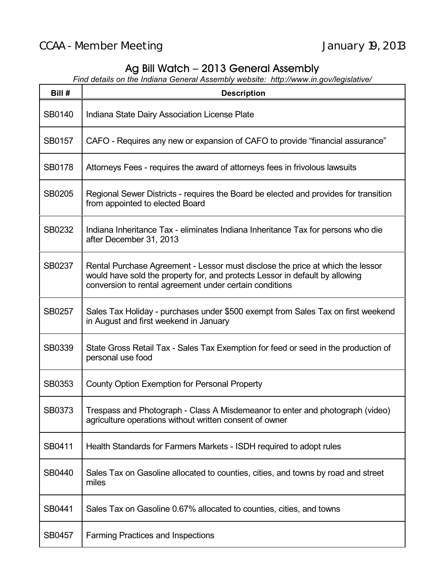## Ag Bill Watch – 2013 General Assembly

*Find details on the Indiana General Assembly website: http://www.in.gov/legislative/*

| Bill #        | <b>Description</b>                                                                                                                                                                                                        |
|---------------|---------------------------------------------------------------------------------------------------------------------------------------------------------------------------------------------------------------------------|
| <b>SB0140</b> | Indiana State Dairy Association License Plate                                                                                                                                                                             |
| <b>SB0157</b> | CAFO - Requires any new or expansion of CAFO to provide "financial assurance"                                                                                                                                             |
| <b>SB0178</b> | Attorneys Fees - requires the award of attorneys fees in frivolous lawsuits                                                                                                                                               |
| SB0205        | Regional Sewer Districts - requires the Board be elected and provides for transition<br>from appointed to elected Board                                                                                                   |
| SB0232        | Indiana Inheritance Tax - eliminates Indiana Inheritance Tax for persons who die<br>after December 31, 2013                                                                                                               |
| SB0237        | Rental Purchase Agreement - Lessor must disclose the price at which the lessor<br>would have sold the property for, and protects Lessor in default by allowing<br>conversion to rental agreement under certain conditions |
| SB0257        | Sales Tax Holiday - purchases under \$500 exempt from Sales Tax on first weekend<br>in August and first weekend in January                                                                                                |
| SB0339        | State Gross Retail Tax - Sales Tax Exemption for feed or seed in the production of<br>personal use food                                                                                                                   |
| SB0353        | County Option Exemption for Personal Property                                                                                                                                                                             |
| SB0373        | Trespass and Photograph - Class A Misdemeanor to enter and photograph (video)<br>agriculture operations without written consent of owner                                                                                  |
| SB0411        | Health Standards for Farmers Markets - ISDH required to adopt rules                                                                                                                                                       |
| SB0440        | Sales Tax on Gasoline allocated to counties, cities, and towns by road and street<br>miles                                                                                                                                |
| SB0441        | Sales Tax on Gasoline 0.67% allocated to counties, cities, and towns                                                                                                                                                      |
| <b>SB0457</b> | <b>Farming Practices and Inspections</b>                                                                                                                                                                                  |